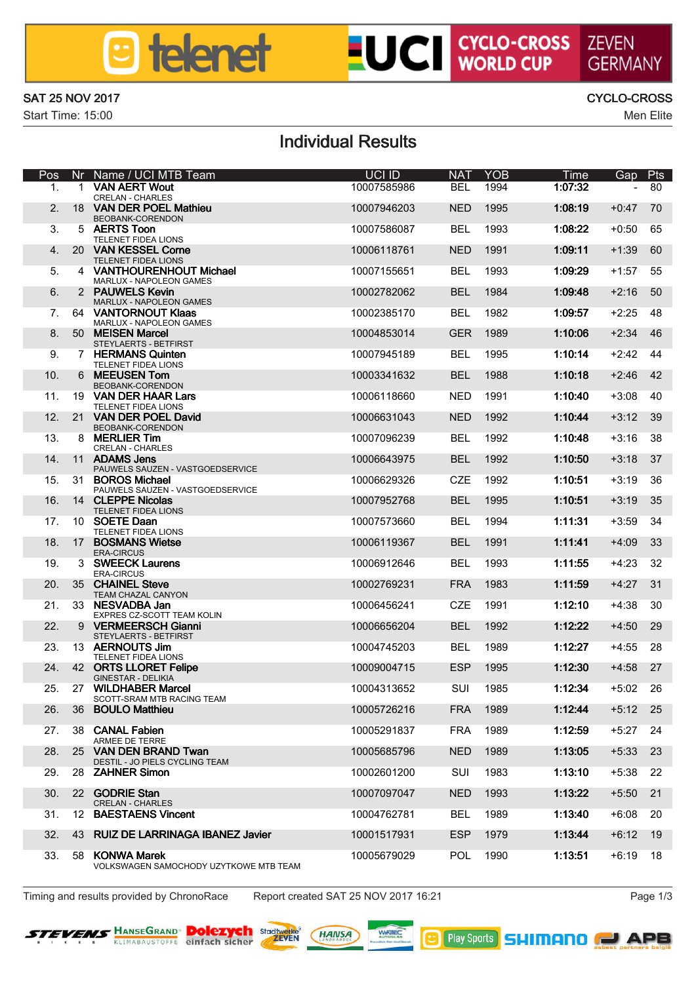### **a** telenet

# **LUCI CYCLO-CROSS ZEVEN**

SAT 25 NOV 2017 CYCLO-CROSS

Start Time: 15:00 Men Elite

### Individual Results

| Pos                     |          | Nr Name / UCI MTB Team                                      | UCI ID      | <b>NAT</b> | <b>YOR</b> | Time      | Gap     | Pts |
|-------------------------|----------|-------------------------------------------------------------|-------------|------------|------------|-----------|---------|-----|
| ۰.                      |          | <b>VAN AFRT White</b><br>CRELAN - CHARLES                   | 10007585986 | <b>RFI</b> | 1994       | 11732     |         | 80  |
| $\overline{a}$          | 18       | <b>VAN DER POEL Mathieur</b><br>BEQBANK-CORENDON            | 10007946203 | <b>NFD</b> | 1995       | 1:08:19   | $+0.47$ | 70  |
| $\overline{\mathbf{a}}$ |          | 5 AERTS Toon<br>TELENET FIDEA LIONS                         | 10007586087 | <b>RFI</b> | 1993       | 1:08:22   | $+0.50$ | 65  |
| 4                       |          | 20 VAN KESSEL Come<br>TELENET FIDEA LIONS                   | 10006118761 | <b>NFD</b> | 1991       | 1:09:11   | $+1:39$ | 60  |
| к                       | 4        | VANTHOLIREMHOLIT Michael<br>MARLUX - NAPOLEON GAMES         | 10007155651 | <b>RFI</b> | 1993       | 1:09:29   | $+1.57$ | 55  |
| A.                      |          | 2 PAUMELS Keyin<br>MARLUX - NAPOLEON GAMES                  | 10002782062 | <b>RFI</b> | 1984       | 1:09:48   | $+2.16$ | 50  |
| 7                       | 64       | <b>VANTORNOUT Klass</b><br>MARLUX - NAPOLEON GAMES          | 10002385170 | <b>BEL</b> | 1982       | 1:09:57   | $+2.25$ | 48  |
| $\mathbf{R}$            |          | 50 MEISEN Marcel<br>STEYLAERTS - BETFIRST                   | 10004853014 | <b>GER</b> | 1989       | 1:10:06   | $+2.34$ | 46  |
| ۰                       |          | 7 HERMANS Quinten<br>TELENET FIDEA LIONS                    | 10007945189 | <b>RFI</b> | 1995       | 1:10:14   | $+7.42$ | 44  |
| 10                      |          | 6 MEEUSEN Tom<br>BEQBANK-CORENDON                           | 10003341632 | <b>RFI</b> | 1988       | $1:10-18$ | $+2.46$ | 42  |
| 11                      |          | 19 VAN DER HAAR Lars<br>TELENET FIDEA LIONS                 | 10006118660 | <b>NFD</b> | 1991       | 1:10:40   | $+3:08$ | 40  |
| 12 <sub>2</sub>         | 21       | <b>VAN DER POEL David</b><br>BEQBANK-CORENDON               | 10006631043 | <b>NFD</b> | 1992       | 1:10:44   | $+3:12$ | 39  |
| 13                      |          | 8 MERLIFR TWO                                               | 10007096239 | <b>RFI</b> | 1992       | 1:10:48   | $+3:16$ | 38  |
| 14                      | 11       | CRELAN - CHARLES<br>ADAMS Jans                              | 10006643975 | <b>RFI</b> | 1992       | 1:10:50   | $+3:18$ | 37  |
| 15.                     |          | PAUWELS SAUZEN - VASTGOEDSERVICE<br>31 BOROS Michael        | 10006629326 | CZE        | 1992       | 1:10:51   | $+3:19$ | 36  |
| 16                      |          | PAUWELS SAUZEN - VASTGOEDSERVICE<br>14 CLEPPE Nicolas       | 10007952768 | <b>RFI</b> | 1995       | 1:10:51   | $+3:19$ | 35  |
| 17.                     |          | TELENET FIDEA LIONS<br>10 SOETE Daan                        | 10007573660 | <b>RFI</b> | 1994       | 1:11:31   | $+3:59$ | 34  |
| 18                      |          | TELENET FIDEA LIONS<br>17 ROSMANS Wielse<br><b>EDAZIBOR</b> | 10006119367 | <b>RFI</b> | 1991       | 1:11:41   | $+4.09$ | 33  |
| 19                      |          | 3 SWIEECK Laurens                                           | 10006912646 | <b>RFI</b> | 1993       | 1:11:55   | $+4:23$ | 32  |
| 20                      |          | ERA/1001/5<br>35 CHAINEL Steve                              | 10002769231 | <b>FRA</b> | 1983       | 1:11:59   | $+4:27$ | 31  |
| 21.                     |          | TEAM CHAZAL CANYON<br>33 NESVADBA Jan                       | 10006456241 | CZE        | 1991       | 1:12:10   | $+4:38$ | 30  |
| 22                      | $\Omega$ | EXPRES CZ-SCOTT TEAM KOUN<br><b>VERMEERSCH Glanni</b>       | 10006656204 | <b>RFI</b> | 1992       | 1:12.22   | $+4.50$ | 29  |
| 23.                     |          | STEYLAERTS - BETFIRST<br>13 AERNOUTS Jim                    | 10004745203 | <b>RFI</b> | 1989       | 1:12.27   | $+4.55$ | 28  |
| 24                      |          | TELENET FIDEA LIONS<br><b>42 ORTS LLORET Felipe</b>         | 10009004715 | ESP        | 1995       | 1:12:30   | $+4:58$ | 27  |
| 25.                     |          | <b>GINESTAR - DELIKIA</b><br>27 WILDHABER Marcel            | 10004313652 | SUI        | 1985       | 1:12:34   | $+5:02$ | 26  |
| 26                      |          | SCOTT-SRAM MTB RACING TEAM<br>36 BOULO Matthieu             | 10005726216 | <b>FRA</b> | 1989       | 1:17:44   | $+5:12$ | 25  |
| 27.                     |          | 38 CANAL Fabien                                             | 10005291837 | <b>FRA</b> | 1989       | 1:12:50   | $+5:27$ | 24  |
| 28                      |          | <b><i>ADMED DE TERRE</i></b><br>25 VAN DEN BRAND Twan       | 10005685796 | <b>NFD</b> | 1989       | 1:13:05   | $+5:33$ | 23  |
| 29.                     |          | DESTIL - JO PIELS CYCLING TEAM<br>28 ZAHNER Simon           | 10002601200 | SUI        | 1983       | 1:13:10   | $+5:38$ | 22  |
| 30 <sub>0</sub>         |          | 22 GODBIE Ston                                              | 10007097047 | <b>NFD</b> | 1993       | 1:13:22   | $+5:50$ | 21  |
| 31                      |          | CRELAN - CHARLES<br>12 BAESTAENS Vincent                    | 10004762781 | <b>RFI</b> | 1989       | 1:13:40   | $+6:08$ | 20  |
| 32                      |          | 43 RUIZ DE LARRINAGA IBANEZ Javier                          | 10001517931 | ESP        | 1979       | 1:13:44   | $+6:12$ | 19  |
| 33.                     |          | 58 KOMMA Marek                                              | 10005679029 | POL        | 1000       | 1:13:51   | $+6:19$ | 18  |
|                         |          | VOLKSWAGEN SAMOCHODY UZYTKOWE MTB TEAM                      |             |            |            |           |         |     |

Timing and results provided by ChronoRace Report created SAT 25 NOV 2017 16:21 Page 1/3





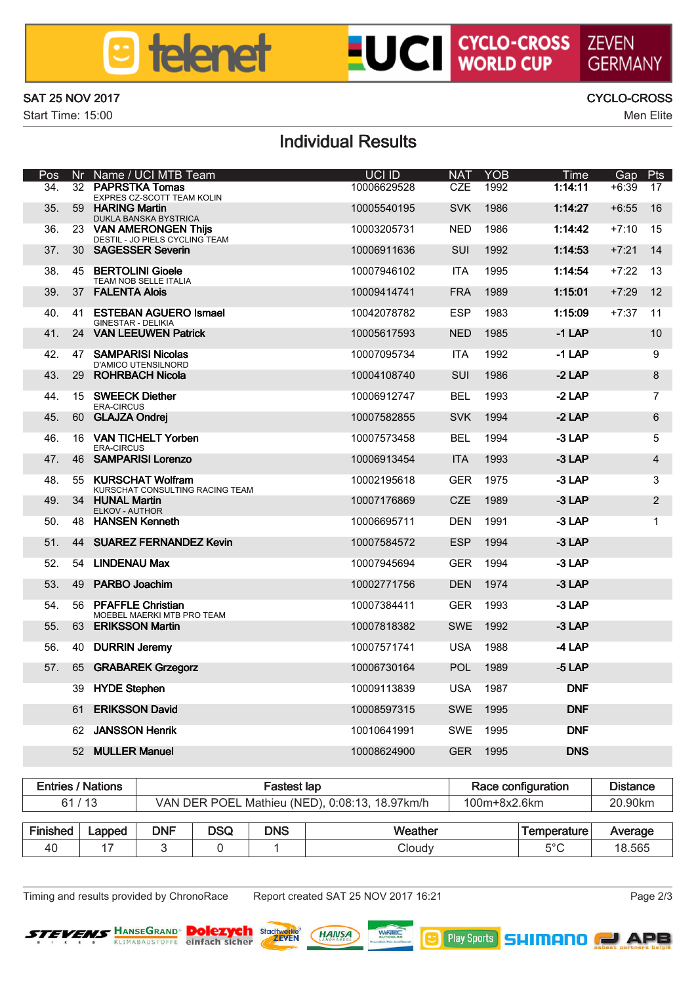### **8** telenet

# **UCI** CYCLO-CROSS ZEVEN

SAT 25 NOV 2017 CYCLO-CROSS

Start Time: 15:00 Men Elite

## GERMANN

### Individual Results

| Pos       |    | Nr Name / UCI MTB Team                                    | <b>LIGLID</b> | <b>NAT</b> | YOB         | Time        | Gap     | Pts            |
|-----------|----|-----------------------------------------------------------|---------------|------------|-------------|-------------|---------|----------------|
| 34        |    | 32 PAPRSTKA Tomas<br>EXPRES CZ-SCOTT TEAM KOUN            | 10006629528   | CZE        | 1002        | 11411       | $+6.39$ | 17             |
| 35        |    | 59 HARING Martin<br>DUKLA BANSKA BYSTRICA                 | 10005540195   | <b>SVK</b> | <b>1986</b> | 1:14.27     | $+6.55$ | 16             |
| 36        |    | 23 VAN AMERONGEN This<br>DESTIL - JO RELS CYCLING TEAM    | 10003205731   | <b>NFD</b> | 1986        | 114.42      | $+7:10$ | 15             |
| 37        |    | 30 SAGESSER Severing                                      | 10006911636   | SUI        | 1992        | 1:14:53     | $+7:21$ | 14             |
| 38        |    | 45 RERTOLINI Ginele<br>TEAM NOS SELLE ITALIA              | 10007946102   | <b>ITA</b> | 1995        | 11454       | $+7:22$ | 13             |
| 39        |    | 37 FAI FMTA Alpis                                         | 10009414741   | <b>FRA</b> | 1989        | 1:15:01     | $+7:29$ | 12             |
| 40.       |    | 41 FSTERAN AGUERO Ismael<br>GINESTAR - DEL BOA            | 10042078782   | ESP        | 1983        | 1:15:09     | $+7.37$ | 11             |
| 41        |    | 24 VAN LEEUWEN Patrick                                    | 10005617593   | <b>NFD</b> | 1985        | $-114P$     |         | 10             |
| 42        |    | 47 SAMPARISI Nicolas<br>D'AMICO UTENSILNORD               | 10007095734   | <b>ITA</b> | 1992        | $-114P$     |         | 9              |
| 43        |    | 29 ROHRBACH Nicola                                        | 10004108740   | SUL        | <b>1986</b> | $-2LP$      |         | 8              |
| 44        |    | 15 SWEECK Diether<br>ERA CIRCUS                           | 10006912747   | <b>RFI</b> | 1993        | -2 LAP      |         | 7              |
| 45        |    | 60 GLAJZA Ondrei                                          | 10007582855   | <b>SVK</b> | 1994        | $-2LP$      |         | 6              |
| 46        |    | 16 VAN TICHELT Yorben<br>ERA CIRCUS                       | 10007573458   | <b>RFI</b> | 1994        | -3LAP       |         | 5              |
| 47        |    | 46 SAMPARISI Logenzo                                      | 10006913454   | <b>ITA</b> | 1993        | <b>314P</b> |         | 4              |
| 48        |    | 55 KLIRSCHAT Welfram<br>KURSCHAT CONSULTING RACING TEAM   | 10002195618   | GER        | 1975        | <b>314P</b> |         | ×              |
| 49        |    | 34 HUMAI Mortin<br>ELKOV - AUTHOR                         | 10007176889   | CZE        | 1989        | <b>314P</b> |         | $\overline{a}$ |
| 50        |    | 48 HAMSEN Kenneth                                         | 10006695711   | <b>DEN</b> | 1991        | <b>314P</b> |         | 1              |
| 51        |    | 44 SIMBEZ FERNANDEZ Kevin                                 | 10007584572   | ESP        | 1994        | <b>314P</b> |         |                |
| 52        |    | 54 I INTERNALI MART                                       | 10007945694   | GFR        | 1994        | <b>314P</b> |         |                |
| 53        |    | 49 PARRO Inarhim                                          | 10002771756   | <b>DEN</b> | 1974        | <b>314P</b> |         |                |
| 54        |    | <b>SR PEAFFLE Christian</b><br>MOEBEL MAERKI MTB PRO TEAM | 10007384411   | GFR        | 1993        | <b>314P</b> |         |                |
| 55        |    | 63 ERIKSSON Martin                                        | 10007818382   | <b>SWF</b> | 1992        | <b>314P</b> |         |                |
| <b>RR</b> |    | 40 DURIN Jeremy                                           | 10007571741   | 1184       | 1988        | 41AP        |         |                |
| 57        | 65 | <b>GRABARIEK Grassorz</b>                                 | 10006730164   | POL        | 1989        | <b>S14P</b> |         |                |
|           | 39 | <b>HYDE Stephen</b>                                       | 10009113839   | 1184       | 1987        | <b>DNF</b>  |         |                |
|           | 61 | <b>ERIKSSON David</b>                                     | 10008597315   | <b>SWF</b> | 1995        | <b>DNF</b>  |         |                |
|           | 62 | JANSSON Henrik                                            | 10010641991   | SWE        | 1995        | <b>DNF</b>  |         |                |
|           |    | 52 MILLER Morried                                         | 10008624900   | GFR        | 1995        | <b>DMS</b>  |         |                |

|                 | <b>Folders / Nations</b> |            |                                                | Fastest lan | Race configuration | <b>Distance</b> |             |               |
|-----------------|--------------------------|------------|------------------------------------------------|-------------|--------------------|-----------------|-------------|---------------|
| 61/13           |                          |            | VAN DER POEL Mathieu (NED), 0:08:13, 18.97km/h |             | 100m+8x2 6km       |                 | 20.90km     |               |
| Finished Lapped |                          | <b>DNF</b> | <b>DSO</b>                                     | <b>DNS</b>  | <b>Weather</b>     |                 | Temperature | Average       |
|                 |                          |            |                                                |             |                    |                 |             |               |
| 40              |                          |            |                                                |             | <b>Journ</b>       |                 | 6°C         | <b>18.565</b> |

The Timing and results provided by ChronoRace Report created SAT 25 NOV 2017 16:21 Page 2/3

**B** Pby Spats SHIMANO **ND** APB